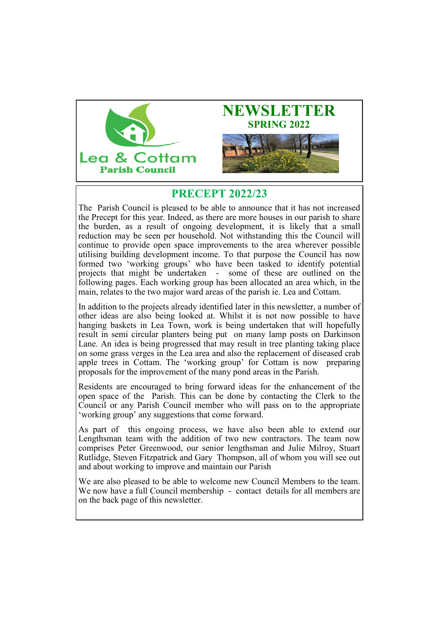



# **PRECEPT 2022/23**

The Parish Council is pleased to be able to announce that it has not increased the Precept for this year. Indeed, as there are more houses in our parish to share the burden, as a result of ongoing development, it is likely that a small reduction may be seen per household. Not withstanding this the Council will continue to provide open space improvements to the area wherever possible utilising building development income. To that purpose the Council has now formed two 'working groups' who have been tasked to identify potential projects that might be undertaken - some of these are outlined on the following pages. Each working group has been allocated an area which, in the main, relates to the two major ward areas of the parish ie. Lea and Cottam.

In addition to the projects already identified later in this newsletter, a number of other ideas are also being looked at. Whilst it is not now possible to have hanging baskets in Lea Town, work is being undertaken that will hopefully result in semi circular planters being put on many lamp posts on Darkinson Lane. An idea is being progressed that may result in tree planting taking place on some grass verges in the Lea area and also the replacement of diseased crab apple trees in Cottam. The 'working group' for Cottam is now preparing proposals for the improvement of the many pond areas in the Parish.

Residents are encouraged to bring forward ideas for the enhancement of the open space of the Parish. This can be done by contacting the Clerk to the Council or any Parish Council member who will pass on to the appropriate 'working group' any suggestions that come forward.

As part of this ongoing process, we have also been able to extend our Lengthsman team with the addition of two new contractors. The team now comprises Peter Greenwood, our senior lengthsman and Julie Milroy, Stuart Rutlidge, Steven Fitzpatrick and Gary Thompson, all of whom you will see out and about working to improve and maintain our Parish

We are also pleased to be able to welcome new Council Members to the team. We now have a full Council membership - contact details for all members are on the back page of this newsletter.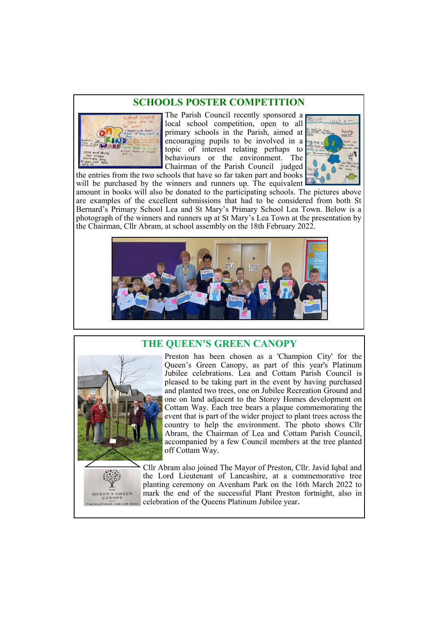### **SCHOOLS POSTER COMPETITION**



The Parish Council recently sponsored a local school competition, open to all primary schools in the Parish, aimed at encouraging pupils to be involved in a topic of interest relating perhaps to behaviours or the environment. The Chairman of the Parish Council judged



will be purchased by the winners and runners up. The equivalent amount in books will also be donated to the participating schools. The pictures above are examples of the excellent submissions that had to be considered from both St Bernard's Primary School Lea and St Mary's Primary School Lea Town. Below is a photograph of the winners and runners up at St Mary's Lea Town at the presentation by the Chairman, Cllr Abram, at school assembly on the 18th February 2022.



### **THE QUEEN'S GREEN CANOPY**



Preston has been chosen as a 'Champion City' for the Queen's Green Canopy, as part of this year's Platinum Jubilee celebrations. Lea and Cottam Parish Council is pleased to be taking part in the event by having purchased and planted two trees, one on Jubilee Recreation Ground and one on land adjacent to the Storey Homes development on Cottam Way. Each tree bears a plaque commemorating the event that is part of the wider project to plant trees across the country to help the environment. The photo shows Cllr Abram, the Chairman of Lea and Cottam Parish Council, accompanied by a few Council members at the tree planted off Cottam Way.

Cllr Abram also joined The Mayor of Preston, Cllr. Javid Iqbal and the Lord Lieutenant of Lancashire, at a commemorative tree planting ceremony on Avenham Park on the 16th March 2022 to mark the end of the successful Plant Preston fortnight, also in celebration of the Queens Platinum Jubilee year**.**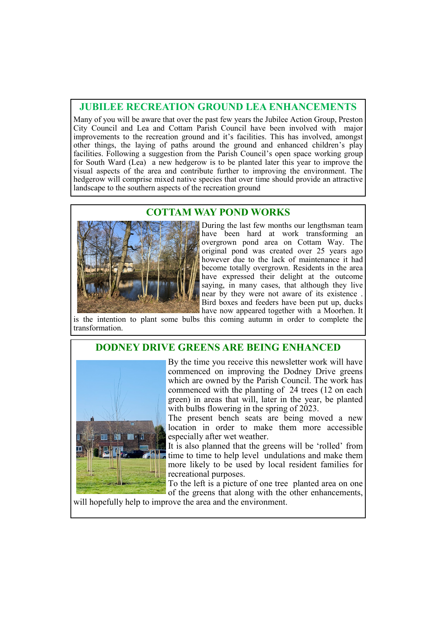### **JUBILEE RECREATION GROUND LEA ENHANCEMENTS**

Many of you will be aware that over the past few years the Jubilee Action Group, Preston City Council and Lea and Cottam Parish Council have been involved with major improvements to the recreation ground and it's facilities. This has involved, amongst other things, the laying of paths around the ground and enhanced children's play facilities. Following a suggestion from the Parish Council's open space working group for South Ward (Lea) a new hedgerow is to be planted later this year to improve the visual aspects of the area and contribute further to improving the environment. The hedgerow will comprise mixed native species that over time should provide an attractive landscape to the southern aspects of the recreation ground

### **COTTAM WAY POND WORKS**



During the last few months our lengthsman team have been hard at work transforming an overgrown pond area on Cottam Way. The original pond was created over 25 years ago however due to the lack of maintenance it had become totally overgrown. Residents in the area have expressed their delight at the outcome saying, in many cases, that although they live near by they were not aware of its existence . Bird boxes and feeders have been put up, ducks have now appeared together with a Moorhen. It

is the intention to plant some bulbs this coming autumn in order to complete the transformation.

### **DODNEY DRIVE GREENS ARE BEING ENHANCED**



By the time you receive this newsletter work will have commenced on improving the Dodney Drive greens which are owned by the Parish Council. The work has commenced with the planting of 24 trees (12 on each green) in areas that will, later in the year, be planted with bulbs flowering in the spring of 2023.

The present bench seats are being moved a new location in order to make them more accessible especially after wet weather.

It is also planned that the greens will be 'rolled' from time to time to help level undulations and make them more likely to be used by local resident families for recreational purposes.

To the left is a picture of one tree planted area on one of the greens that along with the other enhancements,

will hopefully help to improve the area and the environment.